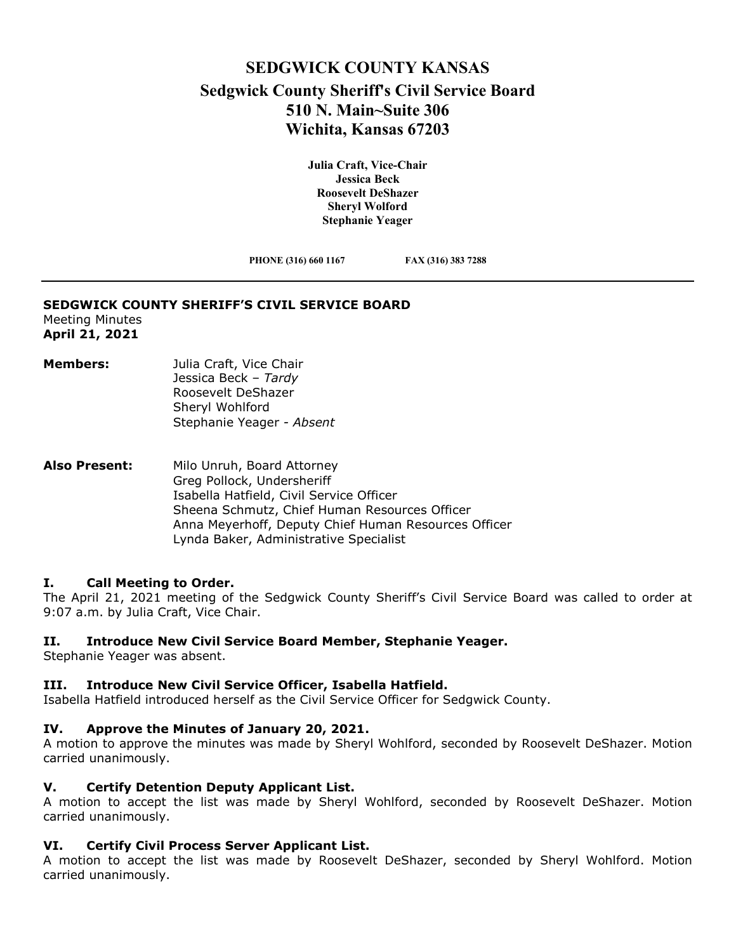# **SEDGWICK COUNTY KANSAS Sedgwick County Sheriff's Civil Service Board 510 N. Main~Suite 306 Wichita, Kansas 67203**

**Julia Craft, Vice-Chair Jessica Beck Roosevelt DeShazer Sheryl Wolford Stephanie Yeager**

**PHONE (316) 660 1167 FAX (316) 383 7288**

#### **SEDGWICK COUNTY SHERIFF'S CIVIL SERVICE BOARD**

Meeting Minutes **April 21, 2021**

- **Members:** Julia Craft, Vice Chair Jessica Beck – *Tardy* Roosevelt DeShazer Sheryl Wohlford Stephanie Yeager *- Absent*
- **Also Present:** Milo Unruh, Board Attorney Greg Pollock, Undersheriff Isabella Hatfield, Civil Service Officer Sheena Schmutz, Chief Human Resources Officer Anna Meyerhoff, Deputy Chief Human Resources Officer Lynda Baker, Administrative Specialist

### **I. Call Meeting to Order.**

The April 21, 2021 meeting of the Sedgwick County Sheriff's Civil Service Board was called to order at 9:07 a.m. by Julia Craft, Vice Chair.

#### **II. Introduce New Civil Service Board Member, Stephanie Yeager.**

Stephanie Yeager was absent.

# **III. Introduce New Civil Service Officer, Isabella Hatfield.**

Isabella Hatfield introduced herself as the Civil Service Officer for Sedgwick County.

### **IV. Approve the Minutes of January 20, 2021.**

A motion to approve the minutes was made by Sheryl Wohlford, seconded by Roosevelt DeShazer. Motion carried unanimously.

# **V. Certify Detention Deputy Applicant List.**

A motion to accept the list was made by Sheryl Wohlford, seconded by Roosevelt DeShazer. Motion carried unanimously.

# **VI. Certify Civil Process Server Applicant List.**

A motion to accept the list was made by Roosevelt DeShazer, seconded by Sheryl Wohlford. Motion carried unanimously.